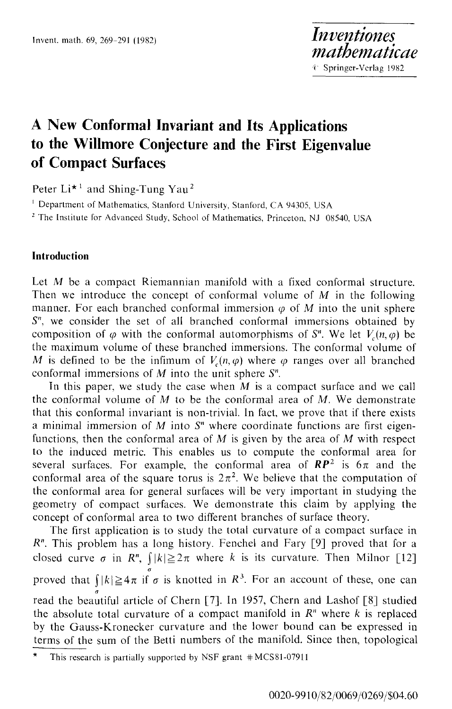# **A New Conformal Invariant and Its Applications to the Willmore Conjecture and the First Eigenvalue of Compact Surfaces**

Peter  $Li^{\star}$ <sup>1</sup> and Shing-Tung Yau<sup>2</sup>

<sup>1</sup> Department of Mathematics, Stanford University, Stanford, CA 94305, USA

<sup>2</sup> The Institute for Advanced Study, School of Mathematics, Princeton, NJ 08540, USA

## **Introduction**

Let M be a compact Riemannian manifold with a fixed conformal structure. Then we introduce the concept of conformal volume of  $M$  in the following manner. For each branched conformal immersion  $\varphi$  of M into the unit sphere  $S<sup>n</sup>$ , we consider the set of all branched conformal immersions obtained by composition of  $\varphi$  with the conformal automorphisms of  $S<sup>n</sup>$ . We let  $V_{\varphi}(n, \varphi)$  be the maximum volume of these branched immersions. The conformal volume of M is defined to be the infimum of  $V_c(n, \varphi)$  where  $\varphi$  ranges over all branched conformal immersions of  $M$  into the unit sphere  $S<sup>n</sup>$ .

In this paper, we study the case when  $M$  is a compact surface and we call the conformal volume of  $M$  to be the conformal area of  $M$ . We demonstrate that this conformal invariant is non-trivial. In fact, we prove that if there exists a minimal immersion of  $M$  into  $S<sup>n</sup>$  where coordinate functions are first eigenfunctions, then the conformal area of  $M$  is given by the area of  $M$  with respect to the induced metric. This enables us to compute the conformal area for several surfaces. For example, the conformal area of  $RP^2$  is  $6\pi$  and the conformal area of the square torus is  $2\pi^2$ . We believe that the computation of the conformal area for general surfaces will be very important in studying the geometry of compact surfaces. We demonstrate this claim by applying the concept of conformal area to two different branches of surface theory.

The first application is to study the total curvature of a compact surface in  $R<sup>n</sup>$ . This problem has a long history. Fenchel and Fary [9] proved that for a closed curve  $\sigma$  in  $R^n$ ,  $\int |k| \geq 2\pi$  where k is its curvature. Then Milnor [12] proved that  $\int_{0}^{a} |k| \geq 4\pi$  if  $\sigma$  is knotted in  $\mathbb{R}^{3}$ . For an account of these, one can read the beautiful article of Chern [7]. In 1957, Chern and Lashof [8] studied the absolute total curvature of a compact manifold in  $R<sup>n</sup>$  where k is replaced by the Gauss-Kronecker curvature and the lower bound can be expressed in terms of the sum of the Betti numbers of the manifold. Since then, topological

This research is partially supported by NSF grant  $*MCS81-07911$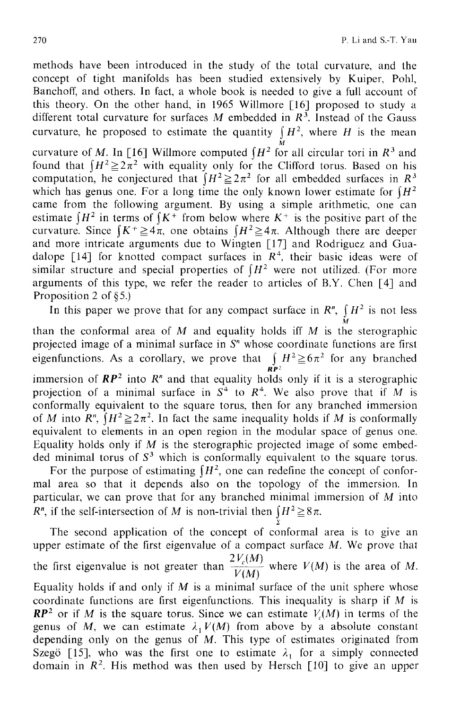methods have been introduced in the study of the total curvature, and the concept of tight manifolds has been studied extensively by Kuiper, Pohl, Banchoff, and others. In fact, a whole book is needed to give a full account of this theory. On the other hand, in 1965 Willmore [16] proposed to study a different total curvature for surfaces M embedded in  $R^3$ . Instead of the Gauss curvature, he proposed to estimate the quantity  $\int H^2$ , where H is the mean

curvature of M. In [16] Willmore computed  $\int H^2$  for all circular tori in  $R^3$  and found that  $H^2 \geq 2\pi^2$  with equality only for the Clifford torus. Based on his computation, he conjectured that  $(H^2 \geq 2\pi^2$  for all embedded surfaces in  $R^3$ which has genus one. For a long time the only known lower estimate for  $H^2$ came from the following argument. By using a simple arithmetic, one can estimate  $H^2$  in terms of  $K^+$  from below where  $K^+$  is the positive part of the curvature. Since  $K^+\geq 4\pi$ , one obtains  $(H^2\geq 4\pi$ . Although there are deeper and more intricate arguments due to Wingten [17] and Rodriguez and Guadalope [14] for knotted compact surfaces in  $R<sup>4</sup>$ , their basic ideas were of similar structure and special properties of  $H^2$  were not utilized. (For more arguments of this type, we refer the reader to articles of B.Y. Chen [4] and Proposition 2 of  $§5$ .)

In this paper we prove that for any compact surface in  $R^n$ ,  $\parallel H^2$  is not less

M than the conformal area of  $M$  and equality holds iff  $M$  is the sterographic projected image of a minimal surface in  $S<sup>n</sup>$  whose coordinate functions are first eigenfunctions. As a corollary, we prove that  $\int_{\mathbf{R}P^2} H^2 \ge 6\pi^2$  for any branched

immersion of  $RP^2$  into  $R^n$  and that equality holds only if it is a sterographic projection of a minimal surface in  $S^4$  to  $R^4$ . We also prove that if M is conformally equivalent to the square torus, then for any branched immersion of M into  $R^n$ ,  $\int H^2 \geq 2\pi^2$ . In fact the same inequality holds if M is conformally equivalent to elements in an open region in the modular space of genus one. Equality holds only if  $M$  is the sterographic projected image of some embedded minimal torus of  $S<sup>3</sup>$  which is conformally equivalent to the square torus.

For the purpose of estimating  $H^2$ , one can redefine the concept of conformal area so that it depends also on the topology of the immersion. In particular, we can prove that for any branched minimal immersion of M into  $R^n$ , if the self-intersection of M is non-trivial then  $\int H^2 \ge 8\pi$ .

The second application of the concept of conformal area is to give an upper estimate of the first eigenvalue of a compact surface  $M$ . We prove that the first eigenvalue is not greater than  $\frac{2V_c(M)}{V(M)}$  where  $V(M)$  is the area of M. Equality holds if and only if  $M$  is a minimal surface of the unit sphere whose coordinate functions are first eigenfunctions. This inequality is sharp if M is  $RP<sup>2</sup>$  or if M is the square torus. Since we can estimate  $V<sub>c</sub>(M)$  in terms of the genus of M, we can estimate  $\lambda_1 V(M)$  from above by a absolute constant depending only on the genus of  $M$ . This type of estimates originated from Szegö [15], who was the first one to estimate  $\lambda_1$  for a simply connected domain in  $R^2$ . His method was then used by Hersch [10] to give an upper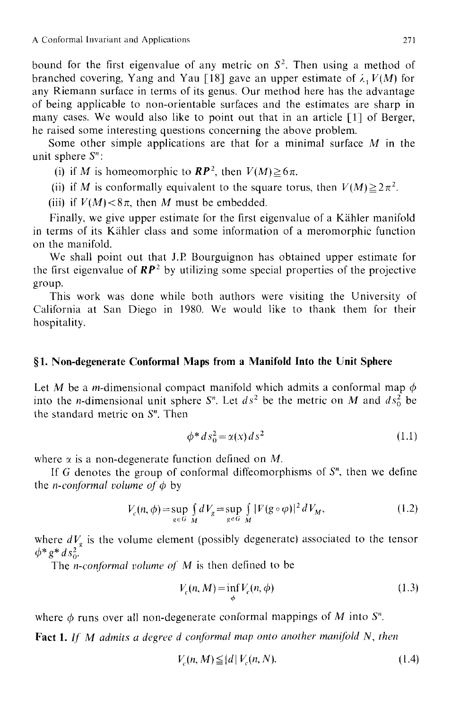bound for the first eigenvalue of any metric on  $S<sup>2</sup>$ . Then using a method of branched covering, Yang and Yau [18] gave an upper estimate of  $\lambda$ ,  $V(M)$  for any Riemann surface in terms of its genus. Our method here has the advantage of being applicable to non-orientable surfaces and the estimates are sharp in many cases. We would also like to point out that in an article [1] of Berger, he raised some interesting questions concerning the above problem.

Some other simple applications are that for a minimal surface M in the unit sphere  $S^n$ :

(i) if M is homeomorphic to  $\mathbb{RP}^2$ , then  $V(M) \ge 6\pi$ .

(ii) if M is conformally equivalent to the square torus, then  $V(M) \geq 2\pi^2$ .

(iii) if  $V(M) < 8\pi$ , then M must be embedded.

Finally, we give upper estimate for the first eigenvalue of a Kähler manifold in terms of its Kähler class and some information of a meromorphic function on the manifold.

We shall point out that J.P. Bourguignon has obtained upper estimate for the first eigenvalue of  $RP^2$  by utilizing some special properties of the projective group.

This work was done while both authors were visiting the University of California at San Diego in 1980. We would like to thank them for their hospitality.

#### **w 1. Non-degenerate Conformal Maps from a Manifold Into the Unit Sphere**

Let M be a m-dimensional compact manifold which admits a conformal map  $\phi$ into the *n*-dimensional unit sphere  $S<sup>n</sup>$ . Let  $ds<sup>2</sup>$  be the metric on M and  $ds<sup>2</sup>$  be the standard metric on  $S<sup>n</sup>$ . Then

$$
\phi^* ds_0^2 = \alpha(x) \, ds^2 \tag{1.1}
$$

where  $\alpha$  is a non-degenerate function defined on M.

If G denotes the group of conformal diffeomorphisms of  $S<sup>n</sup>$ , then we define the *n*-conformal volume of  $\phi$  by

$$
V_c(n,\phi) = \sup_{g \in G} \int_{M} dV_g = \sup_{g \in G} \int_{M} |F(g \circ \phi)|^2 dV_M, \tag{1.2}
$$

where  $dV_g$  is the volume element (possibly degenerate) associated to the tensor  $\phi^* g^* ds^2$ .

The *n-conformal volume of M* is then defined to be

$$
V_c(n, M) = \inf_{\phi} V_c(n, \phi)
$$
\n(1.3)

where  $\phi$  runs over all non-degenerate conformal mappings of M into S<sup>n</sup>.

Fact 1. If M admits a degree d conformal map onto another manifold N, then

$$
V_c(n, M) \leq |d| V_c(n, N). \tag{1.4}
$$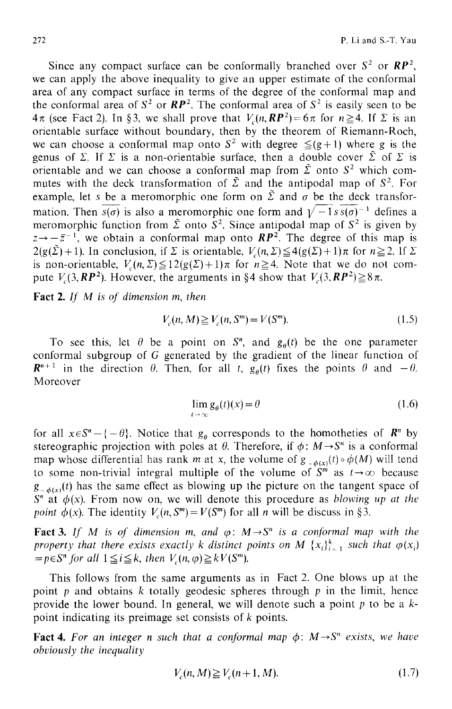Since any compact surface can be conformally branched over  $S^2$  or  $RP^2$ , we can apply the above inequality to give an upper estimate of the conformal area of any compact surface in terms of the degree of the conformal map and the conformal area of  $S^2$  or  $\mathbb{RP}^2$ . The conformal area of  $S^2$  is easily seen to be  $4\pi$  (see Fact 2). In §3, we shall prove that  $V_c(n, RP^2)=6\pi$  for  $n\geq 4$ . If  $\Sigma$  is an orientable surface without boundary, then by the theorem of Riemann-Roch, we can choose a conformal map onto  $S^2$  with degree  $\leq (g+1)$  where g is the genus of  $\Sigma$ . If  $\Sigma$  is a non-orientable surface, then a double cover  $\tilde{\Sigma}$  of  $\Sigma$  is orientable and we can choose a conformal map from  $\tilde{\Sigma}$  onto  $S^2$  which commutes with the deck transformation of  $\tilde{\Sigma}$  and the antipodal map of  $S^2$ . For example, let s be a meromorphic one form on  $\tilde{\Sigma}$  and  $\sigma$  be the deck transformation. Then  $\overline{s(\sigma)}$  is also a meromorphic one form and  $\sqrt{-1} s \overline{s(\sigma)}^{-1}$  defines a meromorphic function from  $\tilde{\Sigma}$  onto  $S^2$ . Since antipodal map of  $S^2$  is given by  $z \rightarrow -\bar{z}^{-1}$ , we obtain a conformal map onto  $RP^2$ . The degree of this map is  $2(g(\tilde{\Sigma})+1)$ . In conclusion, if  $\Sigma$  is orientable,  $V_c(n,\Sigma) \leq 4(g(\Sigma)+1)\pi$  for  $n \geq 2$ . If  $\Sigma$ is non-orientable,  $V_c(n,\Sigma) \leq 12(g(\Sigma)+1)\pi$  for  $n \geq 4$ . Note that we do not compute  $V_c(3, \mathbb{RP}^2)$ . However, the arguments in §4 show that  $V_c(3, \mathbb{RP}^2) \ge 8\pi$ .

Fact 2. *If M is of dimension m, then* 

$$
V_c(n, M) \ge V_c(n, S^m) = V(S^m). \tag{1.5}
$$

To see this, let  $\theta$  be a point on  $S<sup>n</sup>$ , and  $g<sub>0</sub>(t)$  be the one parameter conformal subgroup of G generated by the gradient of the linear function of  $\mathbb{R}^{n+1}$  in the direction  $\theta$ . Then, for all t,  $g_{\theta}(t)$  fixes the points  $\theta$  and  $-\theta$ . Moreover

$$
\lim_{t \to \infty} g_{\theta}(t)(x) = \theta \tag{1.6}
$$

for all  $x \in S^n - \{-\theta\}$ . Notice that  $g_\theta$  corresponds to the homotheties of  $\mathbb{R}^n$  by stereographic projection with poles at  $\theta$ . Therefore, if  $\phi: M \rightarrow S^{n}$  is a conformal map whose differential has rank m at x, the volume of  $g_{-\phi(x)}(t) \circ \phi(M)$  will tend to some non-trivial integral multiple of the volume of  $S<sup>m</sup>$  as  $t\rightarrow\infty$  because  $g_{-\phi(x)}(t)$  has the same effect as blowing up the picture on the tangent space of  $S<sup>n</sup>$  at  $\phi(x)$ . From now on, we will denote this procedure as *blowing up at the point*  $\phi(x)$ *. The identity*  $V_a(n, S^m) = V(S^m)$  *for all n will be discuss in §3.* 

**Fact 3.** If M is of dimension m, and  $\varphi$ :  $M \rightarrow S^{n}$  is a conformal map with the *property that there exists exactly k distinct points on M*  ${x_i}_{i=1}^k$  *such that*  $\varphi(x_i)$  $= p \in S^n$  for all  $1 \leq i \leq k$ , then  $V_c(n, \varphi) \geq kV(S^m)$ .

This follows from the same arguments as in Fact 2. One blows up at the point  $p$  and obtains  $k$  totally geodesic spheres through  $p$  in the limit, hence provide the lower bound. In general, we will denote such a point p to be a **kpoint** indicating its preimage set consists of k points.

Fact 4. For an integer n such that a conformal map  $\phi$ :  $M \rightarrow S^n$  exists, we have *obviously the inequality* 

$$
V_c(n, M) \ge V_c(n+1, M). \tag{1.7}
$$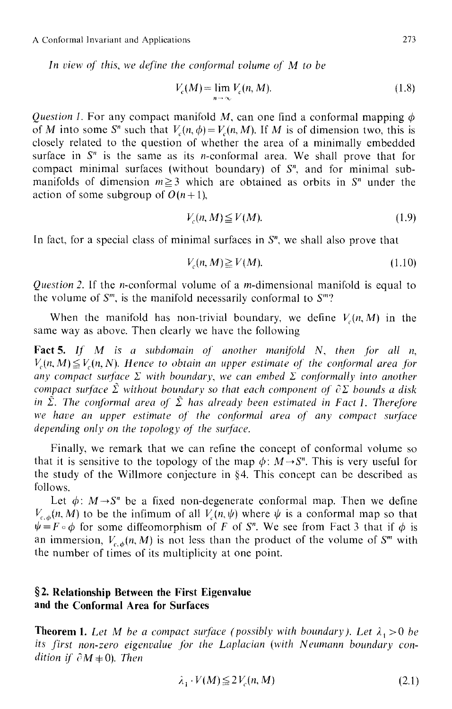A Conformal lnvariant and Applications 273

In view of this, we define the conformal volume of M to be

$$
V_c(M) = \lim_{n \to \infty} V_c(n, M). \tag{1.8}
$$

*Question 1.* For any compact manifold M, can one find a conformal mapping  $\phi$ of M into some S<sup>n</sup> such that  $V_c(n, \phi) = V_c(n, M)$ . If M is of dimension two, this is closely related to the question of whether the area of a minimally embedded surface in  $S<sup>n</sup>$  is the same as its *n*-conformal area. We shall prove that for compact minimal surfaces (without boundary) of S", and for minimal submanifolds of dimension  $m\geq 3$  which are obtained as orbits in  $S<sup>n</sup>$  under the action of some subgroup of  $O(n+1)$ ,

$$
V_c(n, M) \le V(M). \tag{1.9}
$$

In fact, for a special class of minimal surfaces in  $S<sup>n</sup>$ , we shall also prove that

$$
V_c(n, M) \ge V(M). \tag{1.10}
$$

*Question 2.* If the *n*-conformal volume of a *m*-dimensional manifold is equal to the volume of  $S^m$ , is the manifold necessarily conformal to  $S^m$ ?

When the manifold has non-trivial boundary, we define  $V<sub>c</sub>(n, M)$  in the same way as above. Then clearly we have the following

Fact 5. If M is a subdomain of another manifold N, then for all n,  $V_c(n, M) \leq V_c(n, N)$ . Hence to obtain an upper estimate of the conformal area for *any compact surface*  $\Sigma$  *with boundary, we can embed*  $\Sigma$  *conformally into another compact surface*  $\tilde{\Sigma}$  without boundary so that each component of  $\partial \Sigma$  bounds a disk in  $\tilde{\Sigma}$ . The conformal area of  $\tilde{\Sigma}$  has already been estimated in Fact 1. Therefore we have an upper estimate of the conformal area of any compact surface *depending only on the topology of the surface.* 

Finally, we remark that we can refine the concept of conformal volume so that it is sensitive to the topology of the map  $\phi: M \rightarrow S^n$ . This is very useful for the study of the Willmore conjecture in  $\S 4$ . This concept can be described as follows.

Let  $\phi: M \rightarrow S^n$  be a fixed non-degenerate conformal map. Then we define  $V_{c,\phi}(n, M)$  to be the infimum of all  $V_c(n, \psi)$  where  $\psi$  is a conformal map so that  $\psi = F \circ \phi$  for some diffeomorphism of F of S<sup>n</sup>. We see from Fact 3 that if  $\phi$  is an immersion,  $V_{c,\phi}(n, M)$  is not less than the product of the volume of  $S^m$  with the number of times of its multiplicity at one point.

## **w Relationship Between the First Eigenvalue and the Conformal Area for Surfaces**

**Theorem 1.** Let M be a compact surface (possibly with boundary). Let  $\lambda_1 > 0$  be *its first non-zero eigenvalue for the Laplacian (with Neumann boundary condition if*  $\partial M \neq 0$ *). Then* 

$$
\lambda_1 \cdot V(M) \le 2V_c(n, M) \tag{2.1}
$$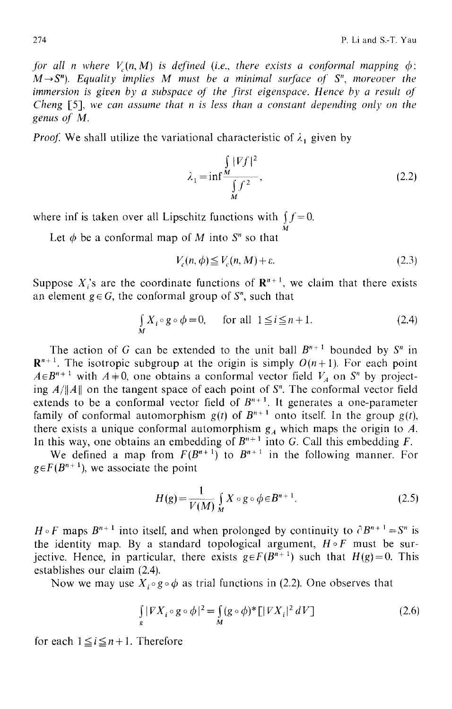*for all n where*  $V(n, M)$  *is defined (i.e., there exists a conformal mapping*  $\phi$ *):*  $M \rightarrow S^n$ ). Equality implies M must be a minimal surface of  $S^n$ , moreover the *immersion is given by a subspace of the first eigenspace. Hence by a result of Cheng* [5], we *can assume that n is less than a constant depending only on the genus of M.* 

*Proof.* We shall utilize the variational characteristic of  $\lambda_1$  given by

$$
\lambda_1 = \inf \frac{\int_{M} |\nabla f|^2}{\int_{M} f^2},
$$
\n(2.2)

where inf is taken over all Lipschitz functions with  $\int f = 0$ .

Let  $\phi$  be a conformal map of M into  $S<sup>n</sup>$  so that

$$
V_c(n,\phi) \le V_c(n,M) + \varepsilon. \tag{2.3}
$$

M

Suppose  $X_i$ 's are the coordinate functions of  $\mathbb{R}^{n+1}$ , we claim that there exists an element  $g \in G$ , the conformal group of  $S<sup>n</sup>$ , such that

$$
\int_{M} X_{i} \circ g \circ \phi = 0, \quad \text{for all } 1 \leq i \leq n+1. \tag{2.4}
$$

The action of G can be extended to the unit ball  $B^{n+1}$  bounded by  $S^n$  in  $\mathbb{R}^{n+1}$ . The isotropic subgroup at the origin is simply  $O(n+1)$ . For each point  $A \in B^{n+1}$  with  $A \neq 0$ , one obtains a conformal vector field  $V_A$  on  $S^n$  by projecting  $A/||A||$  on the tangent space of each point of  $S<sup>n</sup>$ . The conformal vector field extends to be a conformal vector field of  $B^{n+1}$ . It generates a one-parameter family of conformal automorphism  $g(t)$  of  $B^{n+1}$  onto itself. In the group  $g(t)$ , there exists a unique conformal automorphism  $g_A$  which maps the origin to A. In this way, one obtains an embedding of  $B^{n+1}$  into G. Call this embedding F.

We defined a map from  $F(B^{n+1})$  to  $B^{n+1}$  in the following manner. For  $g \in F(B^{n+1})$ , we associate the point

$$
H(g) = \frac{1}{V(M)} \int_{M} X \circ g \circ \phi \in B^{n+1}.
$$
 (2.5)

 $H \circ F$  maps  $B^{n+1}$  into itself, and when prolonged by continuity to  $\partial B^{n+1} = S^n$  is the identity map. By a standard topological argument,  $H \circ F$  must be surjective. Hence, in particular, there exists  $g \in F(B^{n+1})$  such that  $H(g)=0$ . This establishes our claim (2.4).

Now we may use  $X_i \circ g \circ \phi$  as trial functions in (2.2). One observes that

$$
\int_{g} |V X_i \circ g \circ \phi|^2 = \int_{M} (g \circ \phi)^* \left[ |V X_i|^2 \, dV \right] \tag{2.6}
$$

for each  $1 \leq i \leq n+1$ . Therefore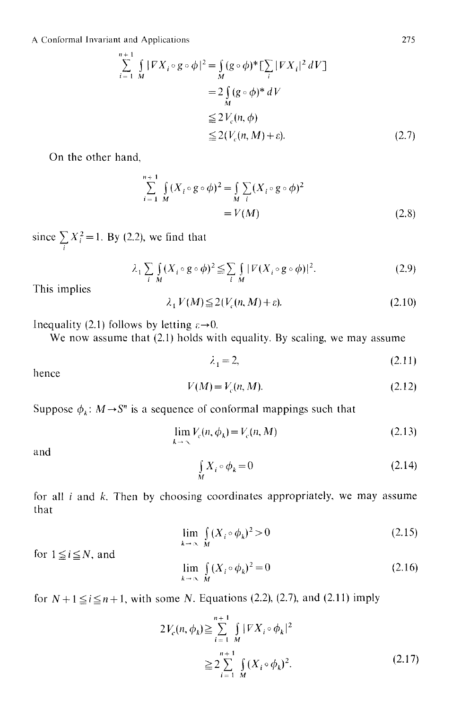A Conformal lnvariant and Applications

$$
\sum_{i=1}^{n+1} \int_{M} |\nabla X_{i} \circ g \circ \phi|^{2} = \int_{M} (g \circ \phi)^{*} \left[ \sum_{i} |\nabla X_{i}|^{2} dV \right]
$$
  

$$
= 2 \int_{M} (g \circ \phi)^{*} dV
$$
  

$$
\leq 2 V_{c}(n, \phi)
$$
  

$$
\leq 2 (V_{c}(n, M) + \varepsilon).
$$
 (2.7)

On the other hand,

$$
\sum_{i=1}^{n+1} \int_{M} (X_i \circ g \circ \phi)^2 = \int_{M} \sum_{i} (X_i \circ g \circ \phi)^2
$$
  
=  $V(M)$  (2.8)

since  $\sum X_i^2 = 1$ . By (2.2), we find that i

$$
\lambda_1 \sum_{i \ M} \int_M (X_i \circ g \circ \phi)^2 \leq \sum_{i \ M} |\mathcal{V}(X_i \circ g \circ \phi)|^2. \tag{2.9}
$$

This implies

$$
\lambda_1 V(M) \le 2(V_c(n, M) + \varepsilon). \tag{2.10}
$$

Inequality (2.1) follows by letting  $\varepsilon \rightarrow 0$ .

We now assume that (2.1) holds with equality. By scaling, we may assume

$$
\lambda_1 = 2,\tag{2.11}
$$

hence

$$
V(M) = V_c(n, M). \tag{2.12}
$$

Suppose  $\phi_k$ :  $M \rightarrow S^n$  is a sequence of conformal mappings such that

$$
\lim_{k \to \infty} V_c(n, \phi_k) = V_c(n, M) \tag{2.13}
$$

and

$$
\iint_{M} X_{i} \circ \phi_{k} = 0 \tag{2.14}
$$

for all  $i$  and  $k$ . Then by choosing coordinates appropriately, we may assume that

l.

$$
\lim_{k \to \infty} \int_{M} (X_i \circ \phi_k)^2 > 0 \tag{2.15}
$$

for  $1 \leq i \leq N$ , and

$$
\lim_{k \to \infty} \int_{M} (X_i \circ \phi_k)^2 = 0 \tag{2.16}
$$

for  $N+1 \leq i \leq n+1$ , with some N. Equations (2.2), (2.7), and (2.11) imply

$$
2V_c(n, \phi_k) \ge \sum_{i=1}^{n+1} \int_{M} |\nabla X_i \circ \phi_k|^2
$$
  
 
$$
\ge 2 \sum_{i=1}^{n+1} \int_{M} (X_i \circ \phi_k)^2.
$$
 (2.17)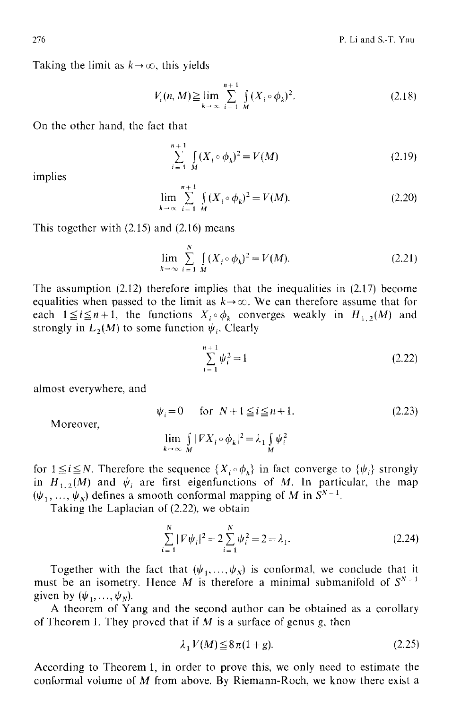Taking the limit as  $k \rightarrow \infty$ , this yields

$$
V_c(n, M) \ge \lim_{k \to \infty} \sum_{i=1}^{n+1} \int_M (X_i \circ \phi_k)^2.
$$
 (2.18)

On the other hand, the fact that

$$
\sum_{i=1}^{n+1} \int_{M} (X_i \circ \phi_k)^2 = V(M) \tag{2.19}
$$

implies

$$
\lim_{k \to \infty} \sum_{i=1}^{n+1} \int_{M} (X_i \circ \phi_k)^2 = V(M). \tag{2.20}
$$

This together with (2.15) and (2.16) means

$$
\lim_{k \to \infty} \sum_{i=1}^{N} \int_{M} (X_i \circ \phi_k)^2 = V(M). \tag{2.21}
$$

The assumption  $(2.12)$  therefore implies that the inequalities in  $(2.17)$  become equalities when passed to the limit as  $k \rightarrow \infty$ . We can therefore assume that for each  $1 \leq i \leq n+1$ , the functions  $X_i \circ \phi_k$  converges weakly in  $H_{1,2}(M)$  and strongly in  $L_2(M)$  to some function  $\psi_i$ . Clearly

$$
\sum_{i=1}^{n+1} \psi_i^2 = 1\tag{2.22}
$$

almost everywhere, and

$$
\psi_i = 0 \quad \text{for} \quad N + 1 \le i \le n + 1. \tag{2.23}
$$

Moreover,

$$
\lim_{k \to \infty} \int_{M} |FX_i \circ \phi_k|^2 = \lambda_1 \int_{M} \psi_i^2
$$

for  $1 \le i \le N$ . Therefore the sequence  $\{X_i \circ \phi_k\}$  in fact converge to  $\{\psi_i\}$  strongly in  $H_{1,2}(M)$  and  $\psi_i$  are first eigenfunctions of M. In particular, the map  $(\psi_1, \ldots, \psi_N)$  defines a smooth conformal mapping of M in  $S^{N-1}$ .

Taking the Laplacian of (2.22), we obtain

$$
\sum_{i=1}^{N} |\nabla \psi_i|^2 = 2 \sum_{i=1}^{N} \psi_i^2 = 2 = \lambda_1.
$$
 (2.24)

Together with the fact that  $(\psi_1, \ldots, \psi_N)$  is conformal, we conclude that it must be an isometry. Hence M is therefore a minimal submanifold of  $S^{N-1}$ given by  $(\psi_1, \ldots, \psi_N)$ .

A theorem of Yang and the second author can be obtained as a corollary of Theorem 1. They proved that if  $M$  is a surface of genus g, then

$$
\lambda_1 V(M) \le 8\pi (1+g). \tag{2.25}
$$

According to Theorem 1, in order to prove this, we only need to estimate the conformal volume of M from above. By Riemann-Roch, we know there exist a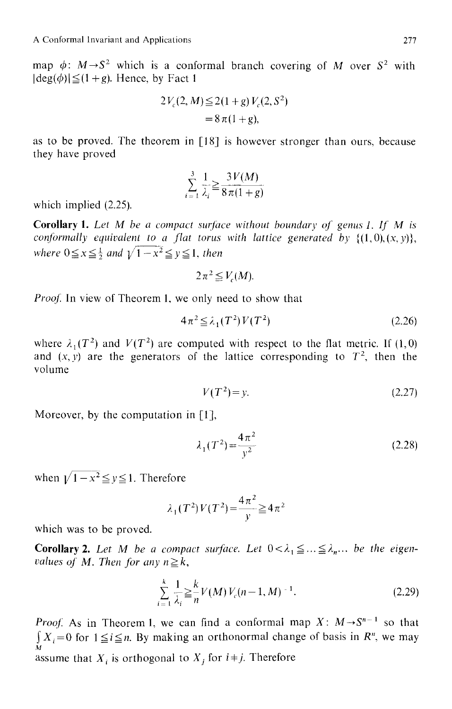map  $\phi: M \rightarrow S^2$  which is a conformal branch covering of M over S<sup>2</sup> with  $|deg(\phi)| \leq (1 + g)$ . Hence, by Fact 1

$$
2V_c(2, M) \le 2(1+g)V_c(2, S^2)
$$
  
= 8\pi(1+g),

as to be proved. The theorem in [18] is however stronger than ours, because they have proved

$$
\sum_{i=1}^{3} \frac{1}{\lambda_i} \ge \frac{3V(M)}{8\pi(1+g)}
$$

which implied (2.25).

Corollary 1. Let M be a compact surface without boundary of genus 1. If M is *conformally equivalent to a flat torus with lattice generated by*  $\{(1,0),(x,y)\},\$ *where*  $0 \le x \le \frac{1}{2}$  *and*  $\sqrt{1-x^2} \le y \le 1$ *, then* 

$$
2\pi^2 \leq V_c(M).
$$

*Proof.* In view of Theorem 1, we only need to show that

$$
4\pi^2 \leq \lambda_1(T^2)V(T^2) \tag{2.26}
$$

where  $\lambda_1(T^2)$  and  $V(T^2)$  are computed with respect to the flat metric. If (1,0) and  $(x, y)$  are the generators of the lattice corresponding to  $T<sup>2</sup>$ , then the volume

$$
V(T^2) = y.\tag{2.27}
$$

Moreover, by the computation in [1],

$$
\lambda_1(T^2) = \frac{4\pi^2}{y^2}
$$
 (2.28)

when  $\sqrt{1-x^2} \le y \le 1$ . Therefore

$$
\lambda_1(T^2)V(T^2) = \frac{4\pi^2}{y} \ge 4\pi^2
$$

which was to be proved.

**Corollary 2.** Let M be a compact surface. Let  $0 < \lambda_1 \leq ... \leq \lambda_n$ ... be the eigen*values of M. Then for any*  $n \geq k$ *,* 

$$
\sum_{i=1}^{k} \frac{1}{\lambda_i} \geq \frac{k}{n} V(M) V_c(n-1, M)^{-1}.
$$
 (2.29)

*Proof.* As in Theorem 1, we can find a conformal map  $X: M \rightarrow S^{n-1}$  so that  $\int X_i=0$  for  $1 \leq i \leq n$ . By making an orthonormal change of basis in  $R^n$ , we may M. assume that  $X_i$  is orthogonal to  $X_i$  for  $i \neq j$ . Therefore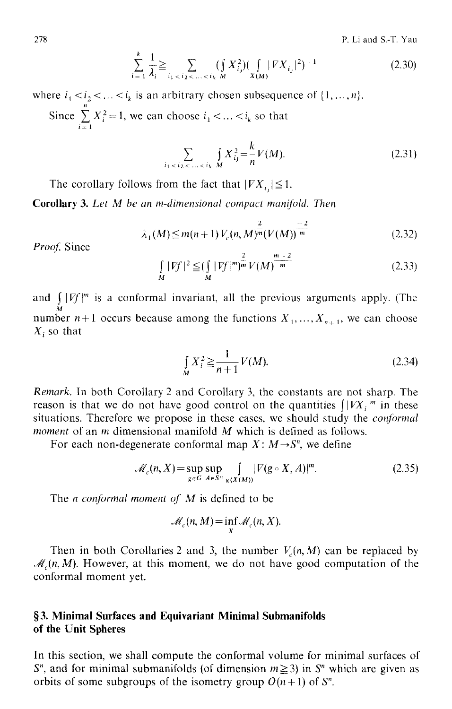278 P. Li and S.-T. Yau

$$
\sum_{i=1}^{k} \frac{1}{\lambda_i} \ge \sum_{i_1 < i_2 < \ldots < i_k \le M} (\int_{X} X_{i_j}^2) (\int_{X(M)} |\nabla X_{i_j}|^2)^{-1} \tag{2.30}
$$

where  $i_1 < i_2 < ... < i_k$  is an arbitrary chosen subsequence of  $\{1, ..., n\}$ . Since  $\sum X_i^2 = 1$ , we can choose  $i_1 < ... < i_k$  so that  $l =$ 

$$
\sum_{i_1 < i_2 < \ldots < i_k} \int_M X_{i_j}^2 = \frac{k}{n} V(M). \tag{2.31}
$$

The corollary follows from the fact that  $|V X_i| \leq 1$ .

**Corollary** 3. *Let M be an m-dimensional compact manijold. Then* 

$$
\lambda_1(M) \le m(n+1) V_c(n, M)^{\frac{2}{m}} (V(M))^{\frac{-2}{m}}
$$
\n(2.32)

Proof. Since

$$
\int_{M} |Ff|^{2} \leq \left(\int_{M} |Ff|^{m}\right)^{\frac{2}{m}} V(M)^{\frac{m-2}{m}}
$$
\n(2.33)

and *S IVf[ m* is a conformal invariant, all the previous arguments apply. (The number  $n+1$  occurs because among the functions  $X_1, ..., X_{n+1}$ , we can choose  $X_i$  so that

$$
\int_{M} X_{i}^{2} \ge \frac{1}{n+1} V(M).
$$
\n(2.34)

*Remark.* In both Corollary 2 and Corollary 3, the constants are not sharp. The reason is that we do not have good control on the quantities  $\int |V X|^{m}$  in these situations. Therefore we propose in these cases, we should study the *conformal moment* of an m dimensional manifold M which is defined as follows.

For each non-degenerate conformal map  $X: M \rightarrow S^n$ , we define

$$
\mathcal{M}_c(n, X) = \sup_{g \in G} \sup_{A \in S^n} \int_{g(X(M))} |\nabla(g \circ X, A)|^m. \tag{2.35}
$$

The *n* conformal moment of M is defined to be

$$
\mathcal{M}_c(n, M) = \inf_X \mathcal{M}_c(n, X).
$$

Then in both Corollaries 2 and 3, the number  $V_c(n, M)$  can be replaced by  $\mathcal{M}_c(n, M)$ . However, at this moment, we do not have good computation of the conformal moment yet.

## **w 3. Minimal Surfaces and Equivariant Minimal Submanifolds of the Unit Spheres**

In this section, we shall compute the conformal volume for minimal surfaces of  $S<sup>n</sup>$ , and for minimal submanifolds (of dimension  $m \ge 3$ ) in  $S<sup>n</sup>$  which are given as orbits of some subgroups of the isometry group  $O(n+1)$  of  $S<sup>n</sup>$ .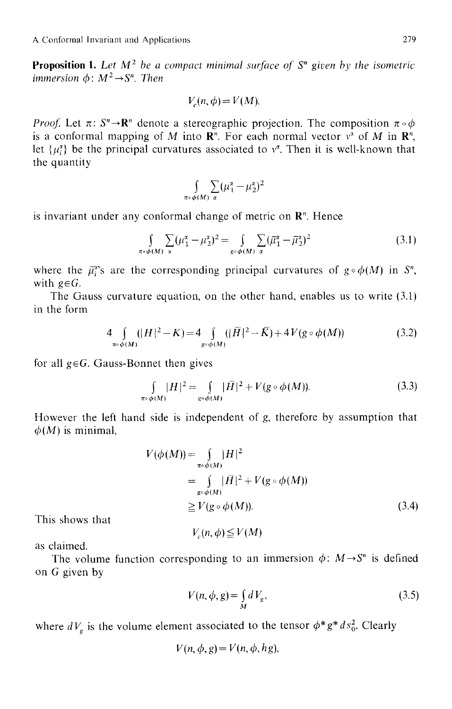**Proposition 1.** Let  $M^2$  be a compact minimal surface of  $S^n$  given by the isometric *immersion*  $\phi: M^2 \rightarrow S^n$ . *Then* 

$$
V_c(n, \phi) = V(M).
$$

*Proof.* Let  $\pi: S^n \to \mathbb{R}^n$  denote a stereographic projection. The composition  $\pi \circ \phi$ is a conformal mapping of M into  $\mathbb{R}^n$ . For each normal vector  $v^2$  of M in  $\mathbb{R}^n$ , let  $\{\mu_i^{\alpha}\}\$  be the principal curvatures associated to  $v^{\alpha}$ . Then it is well-known that the quantity

$$
\int_{\pi \circ \phi(M)} \sum_{\alpha} (\mu_1^{\alpha} - \mu_2^{\alpha})^2
$$

is invariant under any conformal change of metric on  $\mathbb{R}^n$ . Hence

$$
\int_{\pi \circ \phi(M)} \sum_{\alpha} (\mu_1^{\alpha} - \mu_2^{\alpha})^2 = \int_{g \circ \phi(M)} \sum_{\alpha} (\bar{\mu}_1^{\alpha} - \bar{\mu}_2^{\alpha})^2
$$
(3.1)

where the  $\bar{\mu}_{i}^{x}$ 's are the corresponding principal curvatures of  $g \circ \phi(M)$  in S<sup>n</sup>, with  $g \in G$ .

The Gauss curvature equation, on the other hand, enables us to write (3.1) in the form

$$
4\int_{\pi\circ\phi(M)}(|H|^2 - K) = 4\int_{g\circ\phi(M)}(|\bar{H}|^2 - \bar{K}) + 4V(g\circ\phi(M))
$$
\n(3.2)

for all  $g \in G$ . Gauss-Bonnet then gives

$$
\int_{\pi \circ \phi(M)} |H|^2 = \int_{g \circ \phi(M)} |\bar{H}|^2 + V(g \circ \phi(M)).
$$
\n(3.3)

However the left hand side is independent of g, therefore by assumption that  $\phi(M)$  is minimal.

$$
V(\phi(M)) = \int_{\pi \circ \phi(M)} |H|^2
$$
  
= 
$$
\int_{\mathcal{R}^{\circ} \phi(M)} |\bar{H}|^2 + V(g \circ \phi(M))
$$
  

$$
\geq V(g \circ \phi(M)).
$$
 (3.4)

This shows that

$$
V_c(n,\phi) \leq V(M)
$$

as claimed.

The volume function corresponding to an immersion  $\phi$ :  $M \rightarrow S^n$  is defined on G given by

$$
V(n, \phi, g) = \int_{M} dV_{g}, \qquad (3.5)
$$

where  $dV_g$  is the volume element associated to the tensor  $\phi^*g^*ds_0^2$ . Clearly

$$
V(n, \phi, g) = V(n, \phi, hg),
$$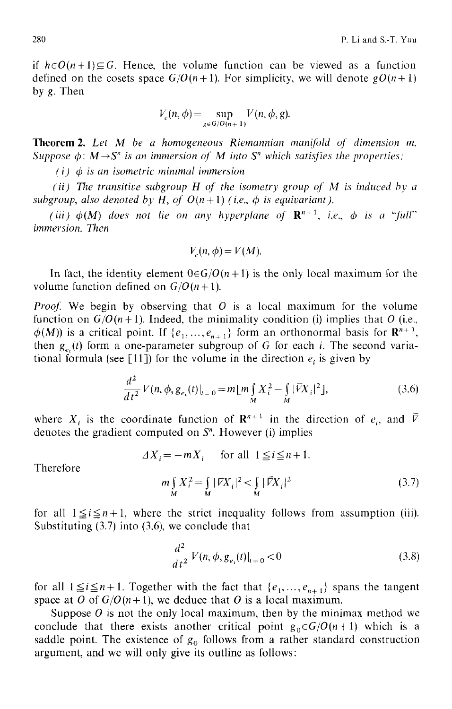if  $h \in O(n+1) \subseteq G$ . Hence, the volume function can be viewed as a function defined on the cosets space  $G/O(n+1)$ . For simplicity, we will denote  $gO(n+1)$ by g. Then

$$
V_c(n,\phi) = \sup_{g \in G/O(n+1)} V(n,\phi,g).
$$

Theorem 2. *Let M be a homogeneous Riemannian manifold of dimension m. Suppose*  $\phi$ *: M*  $\rightarrow$  *S<sup>n</sup> is an immersion of M into S<sup>n</sup> which satisfies the properties:* 

*( i) 0 is an isometric minimal immersion* 

*(ii) The transitive subgroup H of the isometry group of M is induced by a subgroup, also denoted by H, of*  $O(n+1)$  *(i.e.,*  $\phi$  *is equivariant).* 

*(iii)*  $\phi(M)$  does not lie on any hyperplane of  $\mathbb{R}^{n+1}$ , *i.e.*,  $\phi$  is a "full" *immersion. Then* 

$$
V_c(n, \phi) = V(M).
$$

In fact, the identity element  $0 \in G/O(n+1)$  is the only local maximum for the volume function defined on  $G/O(n+1)$ .

*Proof.* We begin by observing that  $O$  is a local maximum for the volume function on  $G/O(n+1)$ . Indeed, the minimality condition (i) implies that O (i.e.,  $\phi(M)$ ) is a critical point. If { $e_1, ..., e_{n+1}$ } form an orthonormal basis for  $\mathbb{R}^{n+1}$ , then  $g_e(t)$  form a one-parameter subgroup of G for each i. The second variational formula (see [11]) for the volume in the direction  $e_i$  is given by

$$
\frac{d^2}{dt^2}V(n,\phi,g_{e_i}(t)|_{t=0} = m[m\int_M X_i^2 - \int_M |\widetilde{V}X_i|^2],\tag{3.6}
$$

where  $X_i$  is the coordinate function of  $\mathbb{R}^{n+1}$  in the direction of  $e_i$ , and  $\overline{V}$ denotes the gradient computed on  $S<sup>n</sup>$ . However (i) implies

$$
\Delta X_i = -mX_i \quad \text{for all } 1 \le i \le n+1.
$$

Therefore

$$
m\int_{M} X_{i}^{2} = \int_{M} |FX_{i}|^{2} < \int_{M} |\overline{FX}_{i}|^{2}
$$
\n(3.7)

for all  $1 \leq i \leq n+1$ , where the strict inequality follows from assumption (iii). Substituting (3.7) into (3.6), we conclude that

$$
\frac{d^2}{dt^2} V(n, \phi, g_{e_1}(t)|_{t=0} < 0 \tag{3.8}
$$

for all  $1 \leq i \leq n+1$ . Together with the fact that  $\{e_1, \ldots, e_{n+1}\}$  spans the tangent space at O of  $G/O(n+1)$ , we deduce that O is a local maximum.

Suppose  $\hat{O}$  is not the only local maximum, then by the minimax method we conclude that there exists another critical point  $g_0 \in G/O(n+1)$  which is a saddle point. The existence of  $g_0$  follows from a rather standard construction argument, and we will only give its outline as follows: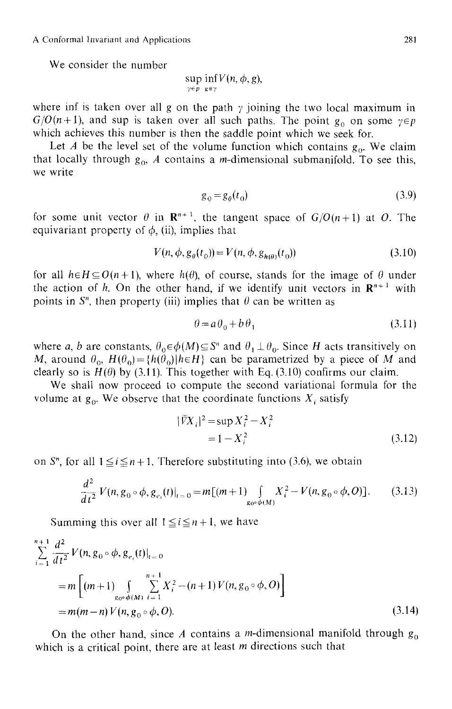We consider the number

$$
\sup_{\gamma \in p} \inf_{g \in \gamma} V(n, \phi, g),
$$

where inf is taken over all g on the path  $\gamma$  joining the two local maximum in  $G/O(n+1)$ , and sup is taken over all such paths. The point  $g_0$  on some  $\gamma \in p$ which achieves this number is then the saddle point which we seek for.

Let A be the level set of the volume function which contains  $g_0$ . We claim that locally through  $g_0$ , A contains a *m*-dimensional submanifold. To see this, we write

$$
g_0 = g_\theta(t_0) \tag{3.9}
$$

for some unit vector  $\theta$  in  $\mathbb{R}^{n+1}$ , the tangent space of  $G/O(n+1)$  at O. The equivariant property of  $\phi$ , (ii), implies that

$$
V(n, \phi, g_{\theta}(t_0)) = V(n, \phi, g_{h(\theta)}(t_0))
$$
\n(3.10)

for all  $h \in H \subseteq O(n+1)$ , where  $h(\theta)$ , of course, stands for the image of  $\theta$  under the action of h. On the other hand, if we identify unit vectors in  $\mathbb{R}^{n+1}$  with points in  $S<sup>n</sup>$ , then property (iii) implies that  $\theta$  can be written as

$$
\theta = a\theta_0 + b\theta_1\tag{3.11}
$$

where a, b are constants,  $\theta_0 \in \phi(M) \subseteq S^n$  and  $\theta_1 \perp \theta_0$ . Since H acts transitively on M, around  $\theta_0$ ,  $H(\theta_0) = \{h(\theta_0) | h \in H\}$  can be parametrized by a piece of M and clearly so is  $H(\theta)$  by (3.11). This together with Eq. (3.10) confirms our claim.

We shall now proceed to compute the second variational formula for the volume at  $g_0$ . We observe that the coordinate functions  $X_i$  satisfy

$$
|\bar{V}X_i|^2 = \sup X_i^2 - X_i^2
$$
  
= 1 - X\_i^2 (3.12)

on  $S<sup>n</sup>$ , for all  $1 \le i \le n + 1$ . Therefore substituting into (3.6), we obtain

$$
\frac{d^2}{dt^2} V(n, g_0 \circ \phi, g_{e_1}(t)|_{t=0} = m[(m+1) \int_{g_0 \circ \phi(M)} X_i^2 - V(n, g_0 \circ \phi, O)].
$$
 (3.13)

Summing this over all  $1 \le i \le n+1$ , we have

$$
\sum_{i=1}^{n+1} \frac{d^2}{dt^2} V(n, g_0 \circ \phi, g_{e_i}(t)|_{t=0})
$$
  
= 
$$
m \left[ (m+1) \int_{g_0 \circ \phi(M)} \sum_{i=1}^{n+1} X_i^2 - (n+1) V(n, g_0 \circ \phi, O) \right]
$$
  
= 
$$
m(m-n) V(n, g_0 \circ \phi, O).
$$
 (3.14)

On the other hand, since A contains a *m*-dimensional manifold through  $g_0$ which is a critical point, there are at least  $m$  directions such that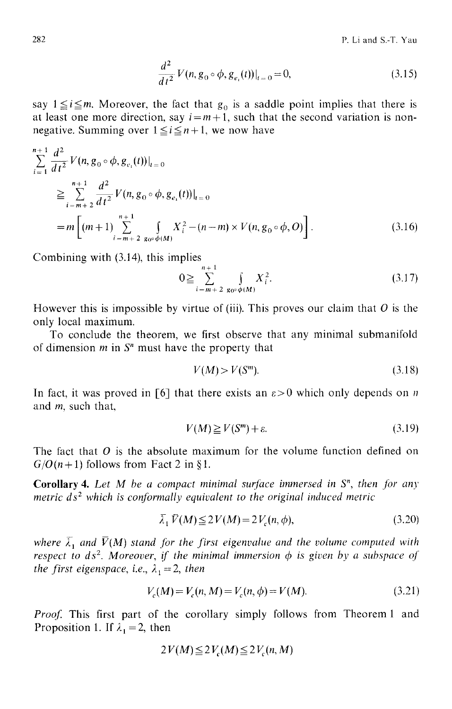$$
\frac{d^2}{dt^2} V(n, g_0 \circ \phi, g_{e_i}(t))|_{t=0} = 0,
$$
\n(3.15)

say  $1 \le i \le m$ . Moreover, the fact that  $g_0$  is a saddle point implies that there is at least one more direction, say  $i = m + 1$ , such that the second variation is nonnegative. Summing over  $1 \le i \le n+1$ , we now have

$$
\sum_{i=1}^{n+1} \frac{d^2}{dt^2} V(n, g_0 \circ \phi, g_{e_i}(t))|_{t=0}
$$
\n
$$
\geq \sum_{i=m+2}^{n+1} \frac{d^2}{dt^2} V(n, g_0 \circ \phi, g_{e_i}(t))|_{t=0}
$$
\n
$$
= m \left[ (m+1) \sum_{i=m+2}^{n+1} \int_{g_0 \circ \phi(M)} X_i^2 - (n-m) \times V(n, g_0 \circ \phi, O) \right].
$$
\n(3.16)

Combining with (3.14), this implies

$$
0 \geq \sum_{i=m+2}^{n+1} \int\limits_{g_0 \circ \phi(M)} X_i^2. \tag{3.17}
$$

However this is impossible by virtue of (iii). This proves our claim that O is the only local maximum.

To conclude the theorem, we first observe that any minimal submanifold of dimension  $m$  in  $S<sup>n</sup>$  must have the property that

$$
V(M) > V(S^m). \tag{3.18}
$$

In fact, it was proved in [6] that there exists an  $\varepsilon > 0$  which only depends on n and m, such that,

$$
V(M) \ge V(S^m) + \varepsilon. \tag{3.19}
$$

The fact that O is the absolute maximum for the volume function defined on  $G/O(n+1)$  follows from Fact 2 in §1.

Corollary 4. *Let M be a compact minimal surjace immersed in S", then for any metric ds<sup>2</sup> which is conformally equivalent to the original induced metric* 

$$
\overline{\lambda}_1 \overline{V}(M) \le 2V(M) = 2V_c(n, \phi),\tag{3.20}
$$

where  $\overline{\lambda}_1$  and  $\overline{V}(M)$  stand for the first eigenvalue and the volume computed with *respect to*  $ds^2$ *. Moreover, if the minimal immersion*  $\phi$  *is given by a subspace of the first eigenspace, i.e.,*  $\lambda_1 = 2$ *, then* 

$$
V_c(M) = V_c(n, M) = V_c(n, \phi) = V(M). \tag{3.21}
$$

*Proof.* This first part of the corollary simply follows from Theorem 1 and Proposition 1. If  $\lambda_1 = 2$ , then

$$
2V(M) \leq 2V_c(M) \leq 2V_c(n,M)
$$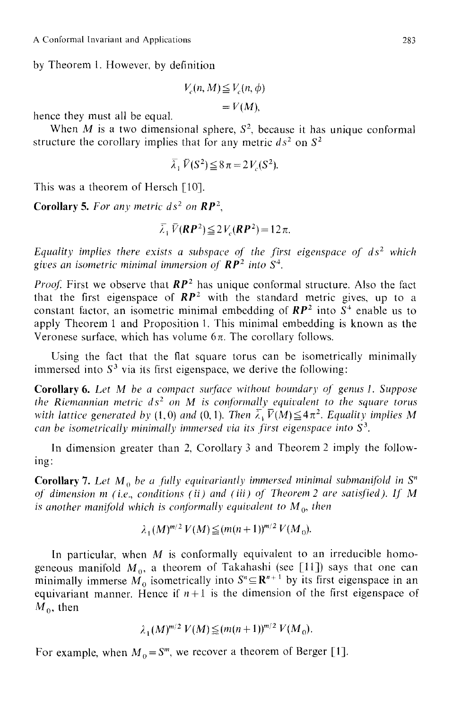by Theorem 1. However, by definition

$$
V_c(n, M) \le V_c(n, \phi)
$$
  
=  $V(M)$ ,

hence they must all be equal.

When M is a two dimensional sphere,  $S^2$ , because it has unique conformal structure the corollary implies that for any metric  $ds^2$  on  $S^2$ 

$$
\overline{\lambda}_1 \overline{V}(S^2) \leq 8\pi = 2V_c(S^2).
$$

This was a theorem of Hersch [10].

**Corollary 5.** For any metric  $ds^2$  on  $\mathbb{RP}^2$ ,

$$
\overline{\lambda}_1 \overline{V}(\mathbf{RP}^2) \leq 2V_c(\mathbf{RP}^2) = 12\pi.
$$

*Equality implies there exists a subspace of the first eigenspace of*  $ds^2$  *which* gives an isometric minimal immersion of  $\mathbb{RP}^2$  into  $S^4$ .

*Proof.* First we observe that  $RP^2$  has unique conformal structure. Also the fact that the first eigenspace of  $RP^2$  with the standard metric gives, up to a constant factor, an isometric minimal embedding of  $RP^2$  into  $S^4$  enable us to apply Theorem 1 and Proposition 1. This minimal embedding is known as the Veronese surface, which has volume  $6\pi$ . The corollary follows.

Using the fact that the flat square torus can be isometrically minimally immersed into  $S<sup>3</sup>$  via its first eigenspace, we derive the following:

Corollary 6. Let M be a compact surface without boundary of genus 1. Suppose *the Riemannian metric*  $ds^2$  *on M is conformally equivalent to the square torus with lattice generated by (1,0) and (0,1). Then*  $\overline{\lambda}_1 \overline{V}(M) \leq 4\pi^2$ . *Equality implies M can be isometrically minimally immersed via its first eigenspace into*  $S<sup>3</sup>$ .

In dimension greater than 2, Corollary 3 and Theorem 2 imply the following:

**Corollary 7.** Let  $M_0$  be a fully equivariantly immersed minimal submanifold in  $S<sup>n</sup>$ *of dimension m (i.e., conditions (ii) and (iii) of Theorem 2 are satisfied). If M is another manifold which is conformally equivalent to*  $M_0$ *, then* 

$$
\lambda_1(M)^{m/2} V(M) \leq (m(n+1))^{m/2} V(M_0).
$$

In particular, when  $M$  is conformally equivalent to an irreducible homogeneous manifold  $M_0$ , a theorem of Takahashi (see [11]) says that one can minimally immerse  $\check{M_0}$  isometrically into  $S^n \subseteq \mathbb{R}^{n+1}$  by its first eigenspace in an equivariant manner. Hence if  $n+1$  is the dimension of the first eigenspace of  $M<sub>0</sub>$ , then

$$
\lambda_1 (M)^{m/2} V(M) \leq (m(n+1))^{m/2} V(M_0).
$$

For example, when  $M_0 = S^m$ , we recover a theorem of Berger [1].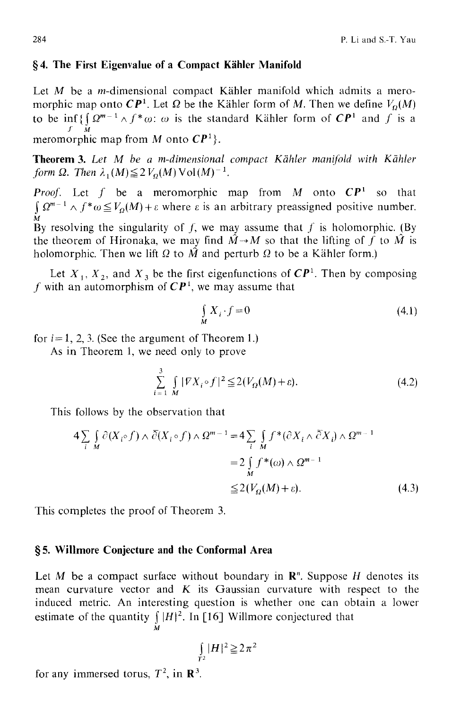### §4. The First Eigenvalue of a Compact Kähler Manifold

Let  $M$  be a *m*-dimensional compact Kähler manifold which admits a meromorphic map onto  $\mathbb{CP}^1$ . Let  $\Omega$  be the Kähler form of M. Then we define  $V_{\Omega}(M)$ to be inf { $\int Q^{m-1} \wedge f^* \omega$ :  $\omega$  is the standard Kähler form of  $\mathbb{CP}^1$  and  $\int$  is a meromorphic map from *M* onto  $\mathbb{CP}^1$ .

**Theorem 3.** Let M be a m-dimensional compact Kähler manifold with Kähler *form*  $\Omega$ *. Then*  $\lambda_1(M) \leq 2 V_o(M) \operatorname{Vol}(M)^{-1}$ .

*Proof.* Let f be a meromorphic map from M onto  $\mathbb{CP}^1$  so that  $\int \Omega^{m-1} \wedge f^* \omega \leq V_\Omega(M) + \varepsilon$  where  $\varepsilon$  is an arbitrary preassigned positive number. **M**  By resolving the singularity of f, we may assume that f is holomorphic. (By the theorem of Hironaka, we may find  $\hat{M} \rightarrow M$  so that the lifting of f to  $\hat{M}$  is holomorphic. Then we lift  $\Omega$  to  $\hat{M}$  and perturb  $\Omega$  to be a Kähler form.)

Let  $X_1, X_2$ , and  $X_3$  be the first eigenfunctions of  $\mathbb{CP}^1$ . Then by composing f with an automorphism of  $\mathbb{CP}^1$ , we may assume that

$$
\int_{M} X_{i} \cdot f = 0 \tag{4.1}
$$

for  $i = 1, 2, 3$ . (See the argument of Theorem 1.)

As in Theorem 1, we need only to prove

$$
\sum_{i=1}^{3} \int\limits_{M} |\nabla X_i \circ f|^2 \leq 2(V_{\Omega}(M) + \varepsilon). \tag{4.2}
$$

This follows by the observation that

$$
4\sum_{i \ M} \int_{M} \partial(X_{i} \circ f) \wedge \overline{\partial}(X_{i} \circ f) \wedge \Omega^{m-1} = 4\sum_{i \ M} \int_{M} f^{*}(\partial X_{i} \wedge \overline{\partial}X_{i}) \wedge \Omega^{m-1}
$$
  

$$
= 2\int_{M} f^{*}(\omega) \wedge \Omega^{m-1}
$$
  

$$
\leq 2(V_{Q}(M) + \varepsilon).
$$
 (4.3)

This completes the proof of Theorem 3.

#### **w 5. Wilimore Conjecture and the Conformal Area**

Let M be a compact surface without boundary in  $\mathbb{R}^n$ . Suppose H denotes its mean curvature vector and  $K$  its Gaussian curvature with respect to the induced metric. An interesting question is whether one can obtain a lower estimate of the quantity  $\int |H|^2$ . In [16] Willmore conjectured that M

$$
\int_{T^2} |H|^2 \geq 2\pi^2
$$

for any immersed torus,  $T^2$ , in  $\mathbb{R}^3$ .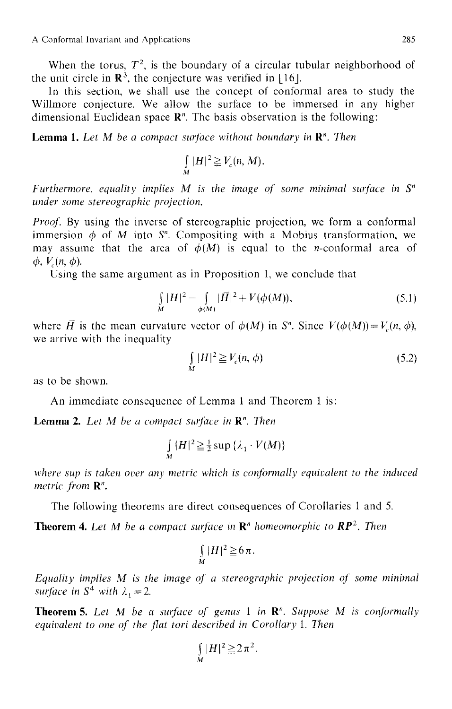When the torus,  $T^2$ , is the boundary of a circular tubular neighborhood of the unit circle in  $\mathbb{R}^3$ , the conjecture was verified in [16].

In this section, we shall use the concept of conformal area to study the Willmore conjecture. We allow the surface to be immersed in any higher dimensional Euclidean space  $\mathbb{R}^n$ . The basis observation is the following:

Lemma 1. *Let M be a compact surface without boundary in R". Then* 

$$
\int_{M} |H|^{2} \geq V_{c}(n, M).
$$

*Furthermore, equality implies M is the image of some minimal surface in*  $S<sup>n</sup>$ *under some stereographic projection.* 

*Proof.* By using the inverse of stereographic projection, we form a conformal immersion  $\phi$  of M into S<sup>n</sup>. Compositing with a Mobius transformation, we may assume that the area of  $\phi(M)$  is equal to the *n*-conformal area of  $\phi$ ,  $V(n, \phi)$ .

Using the same argument as in Proposition 1, we conclude that

$$
\int_{M} |H|^{2} = \int_{\phi(M)} |\bar{H}|^{2} + V(\phi(M)),
$$
\n(5.1)

where  $\overline{H}$  is the mean curvature vector of  $\phi(M)$  in *S*<sup>n</sup>. Since  $V(\phi(M)) = V(n, \phi)$ , we arrive with the inequality

$$
\iint\limits_M |H|^2 \ge V_c(n,\phi) \tag{5.2}
$$

as to be shown.

An immediate consequence of Lemma 1 and Theorem 1 is:

**Lemma 2.** Let M be a compact surface in  $\mathbb{R}^n$ . Then

$$
\int_{M} |H|^{2} \geq \frac{1}{2} \sup \{ \lambda_{1} \cdot V(M) \}
$$

*where sup is taken over any metric which is conformally equivalent to the induced metric from R".* 

The following theorems are direct consequences of Corollaries I and 5.

**Theorem 4.** Let M be a compact surface in  $\mathbb{R}^n$  homeomorphic to  $\mathbb{RP}^2$ . Then

$$
\int\limits_M |H|^2 \geq 6\,\pi.
$$

*Equality implies M is the image of a stereographic projection of some minimal surface in*  $S^4$  *with*  $\lambda_1 = 2$ .

Theorem 5. Let M be a surface of genus 1 in  $\mathbb{R}^n$ . Suppose M is conformally *equivalent to one of the flat tori described in Corollary I. Then* 

$$
\int_{M} |H|^{2} \geq 2 \pi^{2}.
$$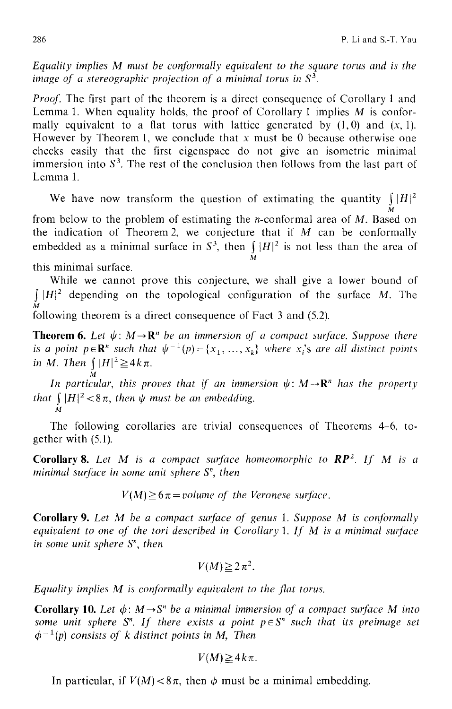*Equality implies M must be conjormally equivalent to the square torus and is the image of a stereographic projection of a minimal torus in*  $S^3$ .

*Proof.* The first part of the theorem is a direct consequence of Corollary 1 and Lemma 1. When equality holds, the proof of Corollary 1 implies  $M$  is conformally equivalent to a flat torus with lattice generated by  $(1,0)$  and  $(x, 1)$ . However by Theorem 1, we conclude that  $x$  must be 0 because otherwise one checks easily that the first eigenspace do not give an isometric minimal immersion into  $S<sup>3</sup>$ . The rest of the conclusion then follows from the last part of Lemma 1.

We have now transform the question of extimating the quantity  $\int |H|^2$ M from below to the problem of estimating the n-conformal area of M. Based on the indication of Theorem 2, we conjecture that if  $M$  can be conformally embedded as a minimal surface in  $S^3$ , then  $\int |H|^2$  is not less than the area of M

this minimal surface.

*M* 

While we cannot prove this conjecture, we shall give a lower bound of  $\int |H|^2$  depending on the topological configuration of the surface M. The **M**  following theorem is a direct consequence of Fact 3 and (5.2).

**Theorem 6.** Let  $\psi: M \to \mathbb{R}^n$  be an immersion of a compact surface. Suppose there *is a point p* $\in \mathbb{R}^n$  *such that*  $\psi^{-1}(p) = \{x_1, \ldots, x_k\}$  where  $x_i$ 's are all distinct points *in M. Then*  $\int |H|^2 \geq 4k\pi$ .

*In particular, this proves that if an immersion*  $\psi \colon M \to \mathbf{R}^n$  has the property *that*  $\int |H|^2 < 8\pi$ *, then*  $\psi$  *must be an embedding.* 

The following corollaries are trivial consequences of Theorems 4-6, together with (5.1).

Corollary 8. Let M is a compact surface homeomorphic to RP<sup>2</sup>. If M is a *minimal surface in some unit sphere S", then* 

 $V(M) \geq 6\pi$  = volume of the Veronese surface.

**Corollary 9.** Let M be a compact surface of genus 1. Suppose M is conformally *equivalent to one of the tori described in Corollary 1. If M is a minimal surface in some unit sphere S", then* 

$$
V(M) \geq 2\pi^2.
$$

*Equality implies M is conformally equivalent to the fiat torus.* 

**Corollary 10.** Let  $\phi$ :  $M \rightarrow S^n$  be a minimal immersion of a compact surface M into *some unit sphere*  $S<sup>n</sup>$ *. If there exists a point*  $p \in S<sup>n</sup>$  *such that its preimage set*  $\phi^{-1}(p)$  consists of k distinct points in M, Then

$$
V(M) \geq 4k\pi.
$$

In particular, if  $V(M) < 8\pi$ , then  $\phi$  must be a minimal embedding.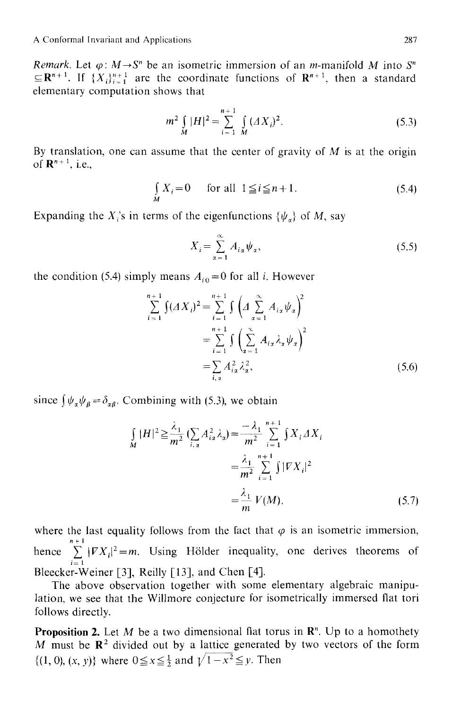*Remark.* Let  $\varphi$ :  $M \rightarrow S^n$  be an isometric immersion of an *m*-manifold M into S<sup>"</sup>  $\subseteq$ **R**<sup>n+1</sup>. If { $X_i$ }<sup>n+1</sup> are the coordinate functions of **R**<sup>n+1</sup>, then a standard elementary computation shows that

$$
m^{2} \int_{M} |H|^{2} = \sum_{i=1}^{n+1} \int_{M} (AX_{i})^{2}.
$$
 (5.3)

By translation, one can assume that the center of gravity of  $M$  is at the origin of  $\mathbb{R}^{n+1}$ , i.e.,

$$
\int_{M} X_{i} = 0 \quad \text{for all } 1 \leq i \leq n+1.
$$
 (5.4)

Expanding the X<sub>i</sub>'s in terms of the eigenfunctions  $\{\psi_{\alpha}\}\$  of M, say

$$
X_i = \sum_{\alpha=1}^{\infty} A_{i\alpha} \psi_{\alpha}, \qquad (5.5)
$$

the condition (5.4) simply means  $A_{i0} = 0$  for all *i*. However

$$
\sum_{i=1}^{n+1} \int (AX_i)^2 = \sum_{i=1}^{n+1} \int \left( \sum_{\alpha=1}^{\infty} A_{i\alpha} \psi_{\alpha} \right)^2
$$
  
= 
$$
\sum_{i=1}^{n+1} \int \left( \sum_{\alpha=1}^{\infty} A_{i\alpha} \lambda_{\alpha} \psi_{\alpha} \right)^2
$$
  
= 
$$
\sum_{i,\alpha} A_{i\alpha}^2 \lambda_{\alpha}^2,
$$
 (5.6)

since  $\int \psi_{\alpha} \psi_{\beta} = \delta_{\alpha\beta}$ . Combining with (5.3), we obtain

$$
\int_{M} |H|^{2} \geq \frac{\lambda_{1}}{m^{2}} \left( \sum_{i,\alpha} A_{i\alpha}^{2} \lambda_{\alpha} \right) = \frac{-\lambda_{1}}{m^{2}} \sum_{i=1}^{n+1} \int X_{i} \Delta X_{i}
$$

$$
= \frac{\lambda_{1}}{m^{2}} \sum_{i=1}^{n+1} \int |V X_{i}|^{2}
$$

$$
= \frac{\lambda_{1}}{m} V(M), \qquad (5.7)
$$

where the last equality follows from the fact that  $\varphi$  is an isometric immersion, hence  $\sum_{i=1}^{n+1} |FX_i|^2 = m$ . Using Hölder inequality, one derives theorems of  $i=1$ Bleecker-Weiner [3], Reilly [13], and Chen [4].

The above observation together with some elementary algebraic manipulation, we see that the Willmore conjecture for isometrically immersed fiat tori follows directly.

**Proposition 2.** Let M be a two dimensional flat torus in  $\mathbb{R}^n$ . Up to a homothety M must be  $\mathbb{R}^2$  divided out by a lattice generated by two vectors of the form  $\{(1, 0), (x, y)\}\)$  where  $0 \le x \le \frac{1}{2}$  and  $\sqrt{1-x^2} \le y$ . Then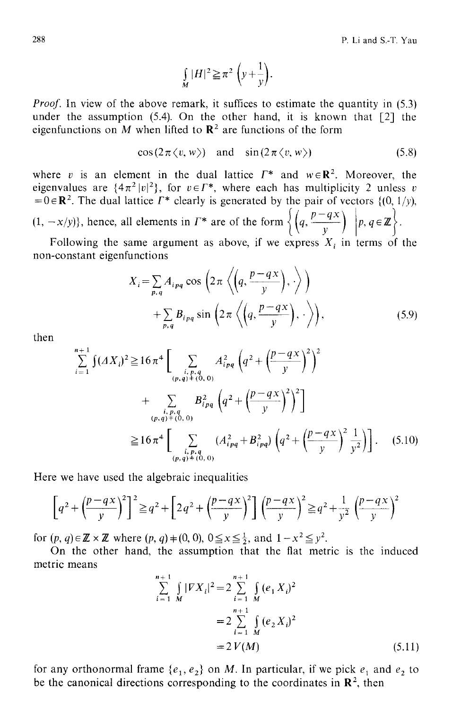$$
\int\limits_M |H|^2 \geq \pi^2 \left(y + \frac{1}{y}\right).
$$

*Proof.* In view of the above remark, it suffices to estimate the quantity in (5.3) under the assumption  $(5.4)$ . On the other hand, it is known that  $[2]$  the eigenfunctions on M when lifted to  $\mathbb{R}^2$  are functions of the form

$$
\cos(2\pi \langle v, w \rangle) \quad \text{and} \quad \sin(2\pi \langle v, w \rangle) \tag{5.8}
$$

where v is an element in the dual lattice  $\Gamma^*$  and  $w \in \mathbb{R}^2$ . Moreover, the eigenvalues are  $\{4\pi^2|v|^2\}$ , for  $v \in \Gamma^*$ , where each has multiplicity 2 unless v  $=0 \in \mathbb{R}^2$ . The dual lattice  $\Gamma^*$  clearly is generated by the pair of vectors {(0, 1/y),  $(1, -x/y)$ , hence, all elements in  $\Gamma^*$  are of the form  $\left\{ \left( q, \frac{p-qx}{y} \right) \middle| p, q \in \mathbb{Z} \right\}.$ 

Following the same argument as above, if we express  $X_i$  in terms of the non-constant eigenfunctions

$$
X_{i} = \sum_{p,q} A_{ipq} \cos \left( 2 \pi \left\langle \left( q, \frac{p-qx}{y} \right), \cdot \right\rangle \right) + \sum_{p,q} B_{ipq} \sin \left( 2 \pi \left\langle \left( q, \frac{p-qx}{y} \right), \cdot \right\rangle \right), \tag{5.9}
$$

then  
\n
$$
\sum_{i=1}^{n+1} \int (\Delta X_i)^2 \ge 16 \pi^4 \left[ \sum_{\substack{i, p, q \\ (p, q) \neq (0, 0)}} A_{ipq}^2 \left( q^2 + \left( \frac{p - qx}{y} \right)^2 \right)^2 + \sum_{\substack{i, p, q \\ (p, q) \neq (0, 0)}} B_{ipq}^2 \left( q^2 + \left( \frac{p - qx}{y} \right)^2 \right)^2 \right]
$$
\n
$$
\ge 16 \pi^4 \left[ \sum_{\substack{i, p, q \\ (p, q) \neq (0, 0)}} (A_{ipq}^2 + B_{ipq}^2) \left( q^2 + \left( \frac{p - qx}{y} \right)^2 \frac{1}{y^2} \right) \right]. \quad (5.10)
$$

Here we have used the algebraic inequalities

$$
\left[q^2 + \left(\frac{p-qx}{y}\right)^2\right]^2 \geqq q^2 + \left[2q^2 + \left(\frac{p-qx}{y}\right)^2\right] \left(\frac{p-qx}{y}\right)^2 \geqq q^2 + \frac{1}{y^2} \left(\frac{p-qx}{y}\right)^2
$$

for  $(p, q) \in \mathbb{Z} \times \mathbb{Z}$  where  $(p, q) + (0, 0), 0 \le x \le \frac{1}{2}$ , and  $1 - x^2 \le y^2$ .

On the other hand, the assumption that the flat metric is the induced metric means

$$
\sum_{i=1}^{n+1} \int_{M} |FX_i|^2 = 2 \sum_{i=1}^{n+1} \int_{M} (e_1 X_i)^2
$$
  
=  $2 \sum_{i=1}^{n+1} \int_{M} (e_2 X_i)^2$   
=  $2 V(M)$  (5.11)

for any orthonormal frame  $\{e_1, e_2\}$  on M. In particular, if we pick  $e_1$  and  $e_2$  to be the canonical directions corresponding to the coordinates in  $\mathbb{R}^2$ , then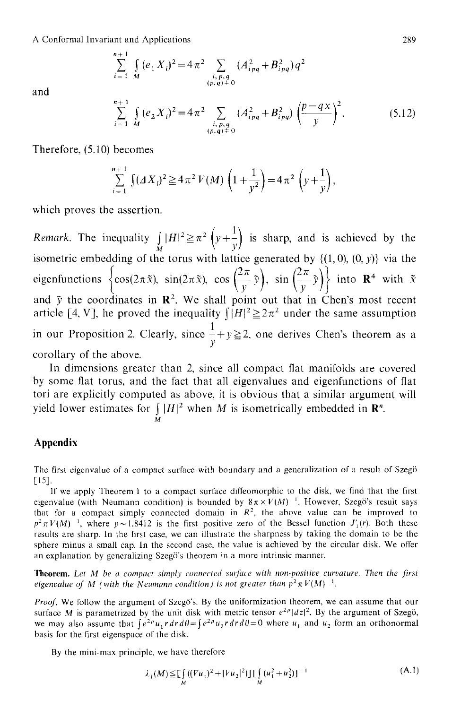A Conformal Invariant and Applications

$$
\sum_{i=1}^{n+1} \int_{M} (e_{1} X_{i})^{2} = 4 \pi^{2} \sum_{\substack{i, p, q \ (p,q) \neq 0}} (A_{ipq}^{2} + B_{ipq}^{2}) q^{2}
$$

and

$$
\sum_{i=1}^{n+1} \int_{M} (e_2 X_i)^2 = 4\pi^2 \sum_{\substack{i, p, q \ (p, q) \neq 0}} (A_{ipq}^2 + B_{ipq}^2) \left(\frac{p - qx}{y}\right)^2.
$$
 (5.12)

Therefore, (5.10) becomes

$$
\sum_{i=1}^{n+1} \int (\Delta X_i)^2 \ge 4 \pi^2 V(M) \left( 1 + \frac{1}{y^2} \right) = 4 \pi^2 \left( y + \frac{1}{y} \right),
$$

which proves the assertion.

*Remark.* The inequality  $\int_{M} |H|^2 \ge \pi^2 \left(y + \frac{1}{y}\right)$  is sharp, and is achieved by the **x**  $\sqrt{y}$ isometric embedding of the torus with lattice generated by  $\{(1, 0), (0, y)\}\;$  via the eigenfunctions  $\left\{\cos(2\pi\tilde{x}), \sin(2\pi\tilde{x}), \cos\left(\frac{2\pi}{v}\tilde{y}\right), \sin\left(\frac{2\pi}{v}\tilde{y}\right)\right\}$  into  $\mathbb{R}^4$  with  $\tilde{x}$ and  $\tilde{y}$  the coordinates in  $\mathbb{R}^2$ . We shall point out that in Chen's most recent article [4, V], he proved the inequality  $\int |H|^2 \geq 2\pi^2$  under the same assumption in our Proposition 2. Clearly, since  $\frac{1}{2} + y \ge 2$ , one derives Chen's theorem as a  $\mathcal{Y}_{\pm}$ corollary of the above.

In dimensions greater than 2, since all compact flat manifolds are covered by some flat torus, and the fact that all eigenvalues and eigenfunctions of flat tori are explicitly computed as above, it is obvious that a similar argument will yield lower estimates for  $||H|^2$  when M is isometrically embedded in  $\mathbb{R}^n$ .

#### M

#### **Appendix**

The firsl eigenvalue of a compact surface with boundary and a generalization of a result of Szeg6 [15].

If we apply Theorem 1 to a compact surface diffeomorphic to the disk, we find that the first eigenvalue (with Neumann condition) is bounded by  $8\pi \times V(M)^{-1}$ . However, Szegö's result says that for a compact simply connected domain in  $R<sup>2</sup>$ , the above value can be improved to  $p^2 \pi V(M)$ <sup>1</sup>, where  $p \sim 1.8412$  is the first positive zero of the Bessel function  $J'(r)$ . Both these results are sharp. In the first case, we can illustrate the sharpness by taking the domain to be the sphere minus a small cap. In the second case, the value is achieved by the circular disk. We offer an explanation by generalizing Szegö's theorem in a more intrinsic manner.

Theorem. Let M be a compact simply connected surface with non-positive curvature. Then the first *eigenvalue of M (with the Neumann condition) is not greater than*  $p^2 \pi V(M)^{-1}$ *.* 

Proof. We follow the argument of Szegö's. By the uniformization theorem, we can assume that our surface M is parametrized by the unit disk with metric tensor  $e^{2\rho} |dz|^2$ . By the argument of Szegö, we may also assume that  $\int e^{2\rho} u_1 r dr d\theta = \int e^{2\rho} u_2 r dr d\theta = 0$  where  $u_1$  and  $u_2$  form an orthonormal basis for the first eigenspace of the disk.

By the mini-max principle, we have therefore

$$
\lambda_1(M) \leq \prod_M \left( (\bar{V}u_1)^2 + |\bar{V}u_2|^2 \right) \prod_M \left( u_1^2 + u_2^2 \right) \bigg]^{-1} \tag{A.1}
$$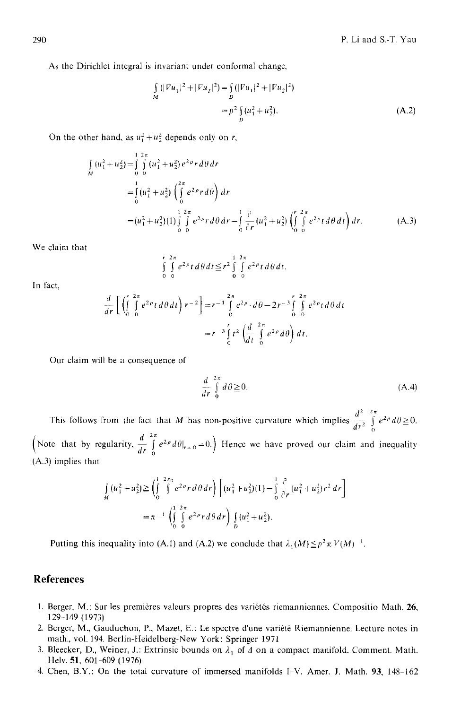As the Dirichlet integral is invariant under conformal change,

$$
\int_{M} (|Vu_{1}|^{2} + |Fu_{2}|^{2}) = \int_{D} (|Vu_{1}|^{2} + |Fu_{2}|^{2})
$$

$$
= p^{2} \int_{D} (u_{1}^{2} + u_{2}^{2}). \tag{A.2}
$$

On the other hand, as  $u_1^2 + u_2^2$  depends only on r,

$$
\begin{split}\n\int_{M} (u_1^2 + u_2^2) &= \int_{0}^{1/2\pi} \int_{0}^{2\pi} (u_1^2 + u_2^2) e^{2\rho} r \, d\theta \, dr \\
&= \int_{0}^{1} (u_1^2 + u_2^2) \left( \int_{0}^{2\pi} e^{2\rho} r \, d\theta \right) dr \\
&= (u_1^2 + u_2^2)(1) \int_{0}^{1/2\pi} \int_{0}^{2\pi} e^{2\rho} r \, d\theta \, dr - \int_{0}^{1} \frac{\partial}{\partial r} (u_1^2 + u_2^2) \left( \int_{0}^{r/2\pi} \int_{0}^{2\pi} e^{2\rho} t \, d\theta \, dt \right) dr.\n\end{split} \tag{A.3}
$$

We claim that

$$
\int_{0}^{r} \int_{0}^{2\pi} e^{2\rho} t \, d\theta \, dt \leq r^2 \int_{0}^{1} \int_{0}^{2\pi} e^{2\rho} t \, d\theta \, dt.
$$

In fact,

$$
\frac{d}{dr} \left[ \left( \int_0^r \int_0^{2\pi} e^{2\rho} t \, d\theta \, dt \right) r^{-2} \right] = r^{-1} \int_0^{2\pi} e^{2\rho} \cdot d\theta - 2r^{-3} \int_0^r \int_0^{2\pi} e^{2\rho} t \, d\theta \, dt
$$
\n
$$
= r^{-3} \int_0^r t^2 \left( \frac{d}{dt} \int_0^{2\pi} e^{2\rho} d\theta \right) dt.
$$

Our claim will be a consequence of

$$
\frac{d}{dr} \int_{0}^{2\pi} d\theta \ge 0.
$$
\n(A.4)

This follows from the fact that M has non-positive curvature which implies  $\frac{d^2}{dr^2} \int_0^a e^{2\rho} d\theta \ge 0$ . Note that by regularity,  $\frac{d}{dr} \int_{0}^{2\pi} e^{2\rho} d\theta|_{r=0} = 0$ . Hence we have proved our claim and inequality  $(A.3)$  implies that

$$
\int_{M} (u_1^2 + u_2^2) \ge \left(\int_0^1 \int_0^{2\pi} e^{2\rho} r \, d\theta \, dr\right) \left[ (u_1^2 + u_2^2)(1) - \int_0^1 \frac{\partial}{\partial r} (u_1^2 + u_2^2) r^2 \, dr \right]
$$
\n
$$
= \pi^{-1} \left( \int_0^1 \int_0^{2\pi} e^{2\rho} r \, d\theta \, dr \right) \int_D (u_1^2 + u_2^2).
$$

Putting this inequality into (A.1) and (A.2) we conclude that  $\lambda_1(M) \leq p^2 \pi V(M)^{-1}$ .

### **References**

- 1. Berger, M.: Sur les premières valeurs propres des variétés riemanniennes. Compositio Math. 26, 129-149 (1973)
- 2. Berger, M., Gauduchon, P., Mazet, E.: Le spectre d'une vari6t6 Riemannienne. Lecture notes in math., vol. 194. Berlin-Heidelberg-New York: Springer 1971
- 3. Bleecker, D., Weiner, J.: Extrinsic bounds on  $\lambda_1$  of  $\Lambda$  on a compact manifold. Comment. Math. Helv. 51, 601-609 (1976)
- 4. Chen, B.Y.: On the total curvature of immersed manifolds I-V. Amer. J. Math. 93, 148-162